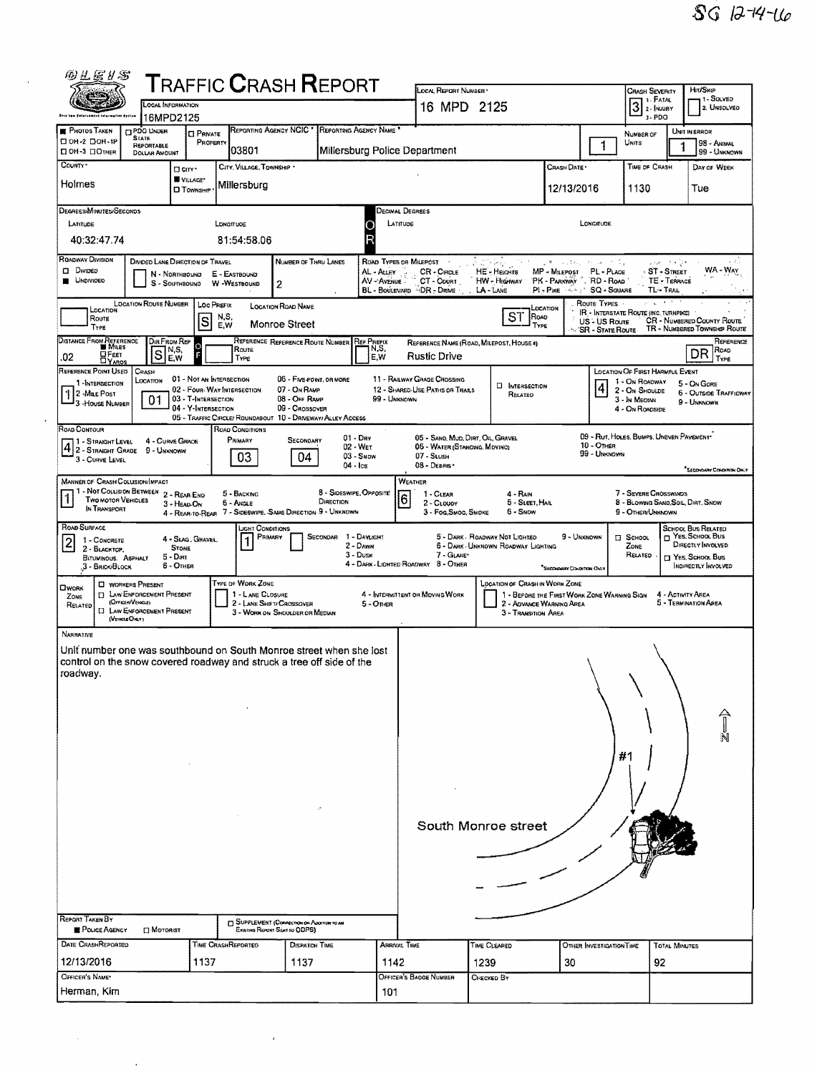| 四丛居#名                                                                                                                                                                                                                                                                                            |                                                                                                                                           |                                                  | ${\sf T}$ RAFFIC ${\sf C}$ RASH ${\sf R}$ EPORT                                               |                                                       |                                      |                                                     | LOCAL REPORT NUMBER                                                                                                                                                                                                   |                                                              |                                                                                         |                                                                                |                                                                      | HIT/SKIP                                                    |  |  |  |
|--------------------------------------------------------------------------------------------------------------------------------------------------------------------------------------------------------------------------------------------------------------------------------------------------|-------------------------------------------------------------------------------------------------------------------------------------------|--------------------------------------------------|-----------------------------------------------------------------------------------------------|-------------------------------------------------------|--------------------------------------|-----------------------------------------------------|-----------------------------------------------------------------------------------------------------------------------------------------------------------------------------------------------------------------------|--------------------------------------------------------------|-----------------------------------------------------------------------------------------|--------------------------------------------------------------------------------|----------------------------------------------------------------------|-------------------------------------------------------------|--|--|--|
| LOCAL INFORMATION                                                                                                                                                                                                                                                                                |                                                                                                                                           |                                                  |                                                                                               |                                                       |                                      |                                                     | 16 MPD 2125                                                                                                                                                                                                           |                                                              |                                                                                         | Crash Severity<br><b>1 - SOLVED</b><br>$3$ : FATAL $3$ - INJURY<br>2. UNSOLVED |                                                                      |                                                             |  |  |  |
| <b>PHOTOS TAKEN</b>                                                                                                                                                                                                                                                                              | 16MPD2125<br><b>CIPDO UNDER</b>                                                                                                           |                                                  | REPORTING AGENCY NCIC *                                                                       |                                                       | REPORTING AGENCY NAME *              |                                                     |                                                                                                                                                                                                                       |                                                              |                                                                                         |                                                                                | $3 - PDO$                                                            | UNIT IN ERROR                                               |  |  |  |
| <b>CIOH-2 CIOH-1P</b><br>ПОН-3 ПОТНЕВ                                                                                                                                                                                                                                                            | <b>STATE</b><br><b>REPORTABLE</b><br><b>DOLLAR AMOUNT</b>                                                                                 | <b>CI PRIVATE</b><br>PROPERTY                    | 03801                                                                                         |                                                       |                                      |                                                     | Millersburg Police Department                                                                                                                                                                                         |                                                              |                                                                                         | 1                                                                              | NUMBER OF<br>Units                                                   | 98 - Animal<br>99 - UNKNOWN                                 |  |  |  |
| COUNTY*<br>Holmes                                                                                                                                                                                                                                                                                |                                                                                                                                           | <b>D</b> CITY *<br>VILLAGE*<br><b>D</b> TOWNSHIP | CITY, VILLAGE, TOWNSHIP<br>Millersburg                                                        |                                                       |                                      |                                                     |                                                                                                                                                                                                                       |                                                              | CRASH DATE<br>12/13/2016                                                                |                                                                                | TIME OF CRASH<br>1130                                                | DAY OF WEEK<br>Tue                                          |  |  |  |
|                                                                                                                                                                                                                                                                                                  |                                                                                                                                           |                                                  |                                                                                               |                                                       |                                      |                                                     |                                                                                                                                                                                                                       |                                                              |                                                                                         |                                                                                |                                                                      |                                                             |  |  |  |
| DEGREES/MINUTES/SECONDS<br>LATITUDE                                                                                                                                                                                                                                                              |                                                                                                                                           |                                                  | LONOTTUDE                                                                                     |                                                       |                                      | LATITUDE<br>C                                       | Decimal Degrees                                                                                                                                                                                                       |                                                              |                                                                                         | LONGITUDE                                                                      |                                                                      |                                                             |  |  |  |
| 40:32:47.74                                                                                                                                                                                                                                                                                      |                                                                                                                                           |                                                  | 81:54:58.06                                                                                   |                                                       |                                      |                                                     |                                                                                                                                                                                                                       |                                                              |                                                                                         |                                                                                |                                                                      |                                                             |  |  |  |
| <b>ROADWAY DIVISION</b><br>D Divideo<br><b>UNDIVIDED</b>                                                                                                                                                                                                                                         | <b>DIVOED LANE DIRECTION OF TRAVEL</b><br>N - NORTHBOUND<br>S - SOUTHBOUND                                                                |                                                  | E - EASTBOUND<br>W -WESTBOUND                                                                 | NUMBER OF THRU LANES<br>2                             |                                      | ROAD TYPES OR MILEPOST<br>AL - ALLEY<br>AV - AVENUE | CR - CIRCLE<br>CT - COURT<br>BL - BOULEVARD - DR - DRIVE                                                                                                                                                              | HE - Heights<br>HW - HIGHWAY<br>$LA - LANE$                  | $8 - 1.541$<br>MP - Maepost<br>PK - PARKWAY . RD - ROAD<br>PI - PIKE HAM J' SQ - SQUARE | ハコードな<br>PL - PLACE                                                            | 上班 不利子<br>ST-STREET<br>TE - TERRACE<br>TL-TRAL                       | $6 - 5$<br>WA - Way                                         |  |  |  |
| <b>LOCATION ROUTE NUMBER</b><br>Route Types<br>LOC PREFIX<br><b>LOCATION ROAD NAME</b><br>LOCATION<br>LOCATION<br><b>IR - INTERSTATE ROUTE (INC. TURNPIKE)</b><br>ST<br>Road<br>N.S.<br>Route<br>S<br><b>CR</b> - NUMBERED COUNTY ROUTE<br>US - US Route<br>Monroe Street<br>E,W<br>TYPE<br>TYPE |                                                                                                                                           |                                                  |                                                                                               |                                                       |                                      |                                                     |                                                                                                                                                                                                                       |                                                              |                                                                                         |                                                                                | TR - NUMBERED TOWNSHIP ROUTE                                         |                                                             |  |  |  |
| DISTANCE FROM REFERENCE<br><b>OFEET</b><br>DYARDS<br>.02                                                                                                                                                                                                                                         | DIR FROM REF<br>IN,S,<br>S<br>E,W                                                                                                         |                                                  | Route<br>TYPE                                                                                 | REFERENCE REFERENCE ROUTE NUMBER                      |                                      | <b>REF PREFIX</b><br>N,S,<br>E.W                    | <b>Rustic Drive</b>                                                                                                                                                                                                   | REFERENCE NAME (ROAD, MILEPOST, HOUSE 4)                     |                                                                                         | 'SR - STATE ROUTE                                                              |                                                                      | REFERENCE<br>ROAD<br>DR<br>TYPE                             |  |  |  |
| REFERENCE POINT USED                                                                                                                                                                                                                                                                             | CRASH                                                                                                                                     | 01 - Not an Intersection                         |                                                                                               | 05 - FIVE-POWT, OR MORE                               |                                      |                                                     | 11 - RAILWAY GRADE CROSSING                                                                                                                                                                                           |                                                              |                                                                                         |                                                                                | LOCATION OF FIRST HARMFUL EVENT                                      |                                                             |  |  |  |
| 1-INTERSECTION<br>1 2 -Mae Post<br>3 -House NUMBER                                                                                                                                                                                                                                               | LOCATION<br>01                                                                                                                            | 03 - T-INTERSECTION<br>04 - Y-Intersection       | 02 - FOUR- WAY INTERSECTION                                                                   | 07 - On RAMP<br>08 - OFF RAMP<br>09 - CROSSOVER       |                                      | 99 - UNKNOWN                                        | 12 - SHARED-USE PATHS OF TRAILS                                                                                                                                                                                       | <b>E INTERSECTION</b><br>RELATEO                             |                                                                                         | $\overline{\mathbf{4}}$                                                        | 1 - On ROADWAY<br>2 - On Shoulde<br>3 - In Median<br>4 - ON ROADSIDE | 5 - On GORE<br><b>6 - OUTSIDE TRAFFICWAY</b><br>9 - UNKNOWN |  |  |  |
| ROAD CONTOUR<br>  1 - Straight Level<br>$4 2 -$ STRAIGHT GRADE                                                                                                                                                                                                                                   | 4 - CURVE GRADE                                                                                                                           |                                                  | 05 - TRAFFIC CIRCLE/ ROUNDABOUT 10 - DRIVEWAY/ ALLEY ACCESS<br>ROAD CONDITIONS<br>Primary     | SECONDARY                                             | $01 - Draw$<br>02 - WET              |                                                     | 05 - SANO, MUD, DIRT, OIL, GRAVEL<br>06 - WATER (STANONG, MOVING)                                                                                                                                                     |                                                              |                                                                                         | 10 - OTHER                                                                     | 09 - RUT, HOLES, BUMPS, UNEVEN PAVEMENT*                             |                                                             |  |  |  |
| 3 - CURVE LEVEL                                                                                                                                                                                                                                                                                  | 9 - UNKNOWN                                                                                                                               |                                                  | 03                                                                                            | 04                                                    | $03 -$ SNDW<br>$04 -$ Ice            |                                                     | 07 - SLUSH<br>08 - DEBRIS                                                                                                                                                                                             |                                                              |                                                                                         | 99 - UNKNOWN                                                                   |                                                                      | "SECONDARY CONDITION ONLY                                   |  |  |  |
| <b>MANNER OF CRASH COLUSION IMPACT</b><br>TWO MOTOR VEHICLES<br>IN TRANSPORT                                                                                                                                                                                                                     | 1 - Not Collision Between 2 - Rear-Eng<br>3 - HEAD-ON                                                                                     |                                                  | 5 - BACKING<br><b>6 - ANGLE</b><br>4 - REAR-TO-REAR 7 - SIDESWIPE, SAME DIRECTION 9 - UNKNOWN |                                                       | 8 - SIDESWIPE, OPPOSITE<br>DIRECTION |                                                     | WEATHER<br>7 - Severe Crosswinds<br>1 - CLEAR<br>4 - RAIN<br>6<br>8 - BLOWING SAND, SOIL, DIRT, SNOW<br>5 - Sleet, Hail<br>2 - CLOUDY<br>3 - Fog, Swoo, Swoke<br>6 - Snow<br>9 - OTHER/UNKNOWN                        |                                                              |                                                                                         |                                                                                |                                                                      |                                                             |  |  |  |
| ROAD SURPACE<br>1 - CONCRETE                                                                                                                                                                                                                                                                     |                                                                                                                                           | 4 - SLAG, GRAVEL,                                | JIGHT CONDITIONS<br>PRIMARY<br>$\mathbf{1}$                                                   |                                                       | SECONDAR 1 - DAYLIGHT                |                                                     |                                                                                                                                                                                                                       | 5 - DARK - ROADWAY NOT LIGHTEO                               | 9 - UNKNOWN                                                                             |                                                                                | <b>El School</b>                                                     | SCHOOL BUS RELATED<br>NES, SCHOOL BUS                       |  |  |  |
| $\overline{c}$<br>2 - BLACKTOP,<br>BITUMINOUS. ASPHALT<br>3 - BricioBlock                                                                                                                                                                                                                        | <b>STONE</b><br>5 - Datt<br>$6 -$ OTHER                                                                                                   |                                                  |                                                                                               |                                                       | 2 - Dawn<br>$3 -$ Dusk               |                                                     | DIRECTLY INVOLVED<br>6 - DARK - UNKNOWN ROADWAY LIGHTING<br>ZONE<br>7 - GLARE*<br>RELATED<br><sup>7</sup> Yes, School Bus<br>4 - DARK - LIGHTED ROADWAY 8 - OTHER<br>INDIRECTLY INVOLVED<br>"SECONDARY CONDITION ONLY |                                                              |                                                                                         |                                                                                |                                                                      |                                                             |  |  |  |
| OWORK<br>ZONE<br>RELATED                                                                                                                                                                                                                                                                         | <b>C WORKERS PRESENT</b><br><b>IT LAW ENFORCEMENT PRESENT</b><br>(OFFICER/VEHICLE)<br><b>EI LAW ENFORCEMENT PRESENT</b><br>(VEHICLE OVEY) |                                                  | TYPE OF WORK ZONE<br>1 - LANE CLOSURE<br>2 - LANE SHIFT/ CROSSOVER                            | 3 - WORK ON SHOULDER OR MEDIAN                        |                                      | $5 -$ OTHER                                         | 4 - INTERMITTENT OR MOVING WORK                                                                                                                                                                                       | <b>LOCATION OF CRASH IN WORK ZONE</b><br>3 - Transition Area | 1 - BEFORE THE FIRST WORK ZONE WARNING SIGN<br>2 - AOVANCE WARNING AREA                 |                                                                                |                                                                      | 4 - ACTIVITY AREA<br>5 - TERMINATION AREA                   |  |  |  |
| NARRATIVE                                                                                                                                                                                                                                                                                        |                                                                                                                                           |                                                  |                                                                                               |                                                       |                                      |                                                     |                                                                                                                                                                                                                       |                                                              |                                                                                         |                                                                                |                                                                      |                                                             |  |  |  |
| Unit number one was southbound on South Monroe street when she lost<br>control on the snow covered roadway and struck a tree off side of the                                                                                                                                                     |                                                                                                                                           |                                                  |                                                                                               |                                                       |                                      |                                                     |                                                                                                                                                                                                                       |                                                              |                                                                                         |                                                                                |                                                                      |                                                             |  |  |  |
| roadway.                                                                                                                                                                                                                                                                                         |                                                                                                                                           |                                                  |                                                                                               |                                                       |                                      |                                                     |                                                                                                                                                                                                                       |                                                              |                                                                                         |                                                                                |                                                                      |                                                             |  |  |  |
|                                                                                                                                                                                                                                                                                                  |                                                                                                                                           |                                                  |                                                                                               |                                                       |                                      |                                                     |                                                                                                                                                                                                                       |                                                              |                                                                                         |                                                                                |                                                                      |                                                             |  |  |  |
|                                                                                                                                                                                                                                                                                                  |                                                                                                                                           |                                                  |                                                                                               |                                                       |                                      |                                                     |                                                                                                                                                                                                                       |                                                              |                                                                                         |                                                                                |                                                                      |                                                             |  |  |  |
|                                                                                                                                                                                                                                                                                                  |                                                                                                                                           |                                                  |                                                                                               |                                                       |                                      |                                                     |                                                                                                                                                                                                                       |                                                              |                                                                                         |                                                                                |                                                                      |                                                             |  |  |  |
|                                                                                                                                                                                                                                                                                                  |                                                                                                                                           |                                                  |                                                                                               |                                                       |                                      |                                                     |                                                                                                                                                                                                                       |                                                              |                                                                                         |                                                                                | #1                                                                   |                                                             |  |  |  |
|                                                                                                                                                                                                                                                                                                  |                                                                                                                                           |                                                  |                                                                                               |                                                       |                                      |                                                     |                                                                                                                                                                                                                       |                                                              |                                                                                         |                                                                                |                                                                      |                                                             |  |  |  |
|                                                                                                                                                                                                                                                                                                  |                                                                                                                                           |                                                  |                                                                                               |                                                       |                                      |                                                     |                                                                                                                                                                                                                       |                                                              |                                                                                         |                                                                                |                                                                      |                                                             |  |  |  |
|                                                                                                                                                                                                                                                                                                  |                                                                                                                                           |                                                  |                                                                                               |                                                       |                                      |                                                     |                                                                                                                                                                                                                       | South Monroe street                                          |                                                                                         |                                                                                |                                                                      |                                                             |  |  |  |
|                                                                                                                                                                                                                                                                                                  |                                                                                                                                           |                                                  |                                                                                               |                                                       |                                      |                                                     |                                                                                                                                                                                                                       |                                                              |                                                                                         |                                                                                |                                                                      |                                                             |  |  |  |
|                                                                                                                                                                                                                                                                                                  |                                                                                                                                           |                                                  |                                                                                               |                                                       |                                      |                                                     |                                                                                                                                                                                                                       |                                                              |                                                                                         |                                                                                |                                                                      |                                                             |  |  |  |
|                                                                                                                                                                                                                                                                                                  |                                                                                                                                           |                                                  |                                                                                               |                                                       |                                      |                                                     |                                                                                                                                                                                                                       |                                                              |                                                                                         |                                                                                |                                                                      |                                                             |  |  |  |
| <b>REPORT TAKEN BY</b>                                                                                                                                                                                                                                                                           |                                                                                                                                           |                                                  |                                                                                               | <b>CI SUPPLEMENT (CONNECTION ON ACCITION TO AN</b>    |                                      |                                                     |                                                                                                                                                                                                                       |                                                              |                                                                                         |                                                                                |                                                                      |                                                             |  |  |  |
| POLICE AGENCY<br><b>DATE CRASHREPORTED</b>                                                                                                                                                                                                                                                       | <b>El Motorist</b>                                                                                                                        |                                                  | TIME CRASHREPORTED                                                                            | EXISTING REPORT SENT TO ODPS)<br><b>DISPATCH TIME</b> |                                      | ARRIVAL TIME                                        |                                                                                                                                                                                                                       | TIME CLEARED                                                 |                                                                                         | OTHER INVESTIGATION TIME                                                       |                                                                      | <b>TOTAL MINUTES</b>                                        |  |  |  |
| 12/13/2016                                                                                                                                                                                                                                                                                       |                                                                                                                                           | 1137                                             |                                                                                               | 1137                                                  |                                      | 1142                                                |                                                                                                                                                                                                                       | 1239                                                         | 30                                                                                      |                                                                                | 92                                                                   |                                                             |  |  |  |
| OFFICER'S NAME*<br>Herman, Kim                                                                                                                                                                                                                                                                   |                                                                                                                                           |                                                  |                                                                                               |                                                       |                                      | 101                                                 | OFFICER'S BADGE NUMBER                                                                                                                                                                                                | Снескер Вү                                                   |                                                                                         |                                                                                |                                                                      |                                                             |  |  |  |
|                                                                                                                                                                                                                                                                                                  |                                                                                                                                           |                                                  |                                                                                               |                                                       |                                      |                                                     |                                                                                                                                                                                                                       |                                                              |                                                                                         |                                                                                |                                                                      |                                                             |  |  |  |

 $\hat{r}$ 

 $\bar{\mathcal{A}}$ 

 $\bar{\phantom{a}}$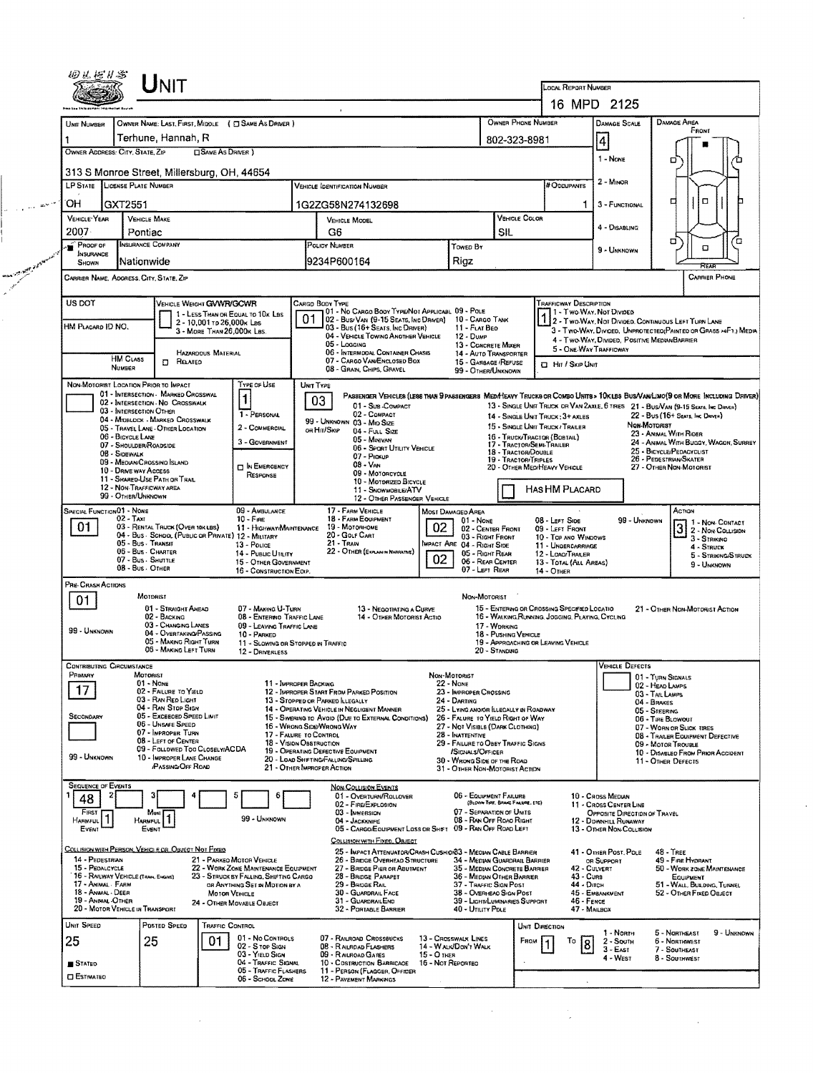| 回民后#害                                                                                                                                                                                                                                                   |                                                                              | <b>NIT</b>                                                            |                            |                                                                          |           |                                                                   |                                                                                               |                                  |                                                               |                                  |                                                                  | LOCAL REPORT NUMBER                                                                                              |                                                              |                                   |                                                                                                                                                                                                             |  |  |
|---------------------------------------------------------------------------------------------------------------------------------------------------------------------------------------------------------------------------------------------------------|------------------------------------------------------------------------------|-----------------------------------------------------------------------|----------------------------|--------------------------------------------------------------------------|-----------|-------------------------------------------------------------------|-----------------------------------------------------------------------------------------------|----------------------------------|---------------------------------------------------------------|----------------------------------|------------------------------------------------------------------|------------------------------------------------------------------------------------------------------------------|--------------------------------------------------------------|-----------------------------------|-------------------------------------------------------------------------------------------------------------------------------------------------------------------------------------------------------------|--|--|
|                                                                                                                                                                                                                                                         |                                                                              |                                                                       |                            |                                                                          |           |                                                                   |                                                                                               |                                  |                                                               |                                  |                                                                  |                                                                                                                  | 16 MPD 2125                                                  |                                   |                                                                                                                                                                                                             |  |  |
|                                                                                                                                                                                                                                                         |                                                                              |                                                                       |                            |                                                                          |           |                                                                   |                                                                                               |                                  |                                                               |                                  |                                                                  |                                                                                                                  |                                                              |                                   |                                                                                                                                                                                                             |  |  |
| UNIT NUMBER                                                                                                                                                                                                                                             |                                                                              |                                                                       |                            | OWNER NAME: LAST, FIRST, MIDDLE ( C SAME AS DRIVER )                     |           |                                                                   |                                                                                               |                                  |                                                               |                                  | OWNER PHONE NUMBER                                               |                                                                                                                  | <b>DAMAGE SCALE</b>                                          |                                   | <b>DAMAGE AREA</b><br>FRONT                                                                                                                                                                                 |  |  |
| Terhune, Hannah, R<br>802-323-8981<br>OWNER ADDRESS: CITY, STATE, ZIP<br><b>CISAME AS DRIVER</b> )                                                                                                                                                      |                                                                              |                                                                       |                            |                                                                          |           |                                                                   |                                                                                               |                                  |                                                               |                                  |                                                                  |                                                                                                                  | 4                                                            |                                   |                                                                                                                                                                                                             |  |  |
|                                                                                                                                                                                                                                                         |                                                                              |                                                                       |                            |                                                                          |           |                                                                   |                                                                                               |                                  |                                                               |                                  |                                                                  |                                                                                                                  | $1 - None$                                                   |                                   | о                                                                                                                                                                                                           |  |  |
|                                                                                                                                                                                                                                                         | 313 S Monroe Street, Millersburg, OH, 44654<br>LP STATE LICENSE PLATE NUMBER |                                                                       |                            |                                                                          |           |                                                                   |                                                                                               |                                  |                                                               |                                  |                                                                  |                                                                                                                  |                                                              |                                   |                                                                                                                                                                                                             |  |  |
|                                                                                                                                                                                                                                                         |                                                                              |                                                                       |                            |                                                                          |           |                                                                   | Vehicle (dentification Number                                                                 |                                  |                                                               |                                  |                                                                  | # Occupants                                                                                                      | $2 - M$ INOR                                                 |                                   |                                                                                                                                                                                                             |  |  |
| ОН                                                                                                                                                                                                                                                      | GXT2551                                                                      |                                                                       |                            |                                                                          |           |                                                                   | 1G2ZG58N274132698                                                                             |                                  |                                                               |                                  |                                                                  | 1                                                                                                                | 3 - FUNCTIONAL                                               |                                   | ¤<br>о                                                                                                                                                                                                      |  |  |
| VEHICLE YEAR                                                                                                                                                                                                                                            | <b>VEHICLE MAKE</b>                                                          |                                                                       |                            |                                                                          |           |                                                                   | VEHICLE COLOR<br><b>VEHICLE MODEL</b>                                                         |                                  |                                                               |                                  |                                                                  |                                                                                                                  | 4 - DISABLING                                                |                                   |                                                                                                                                                                                                             |  |  |
| 2007 -                                                                                                                                                                                                                                                  | Pontiac                                                                      |                                                                       |                            |                                                                          |           | G6                                                                |                                                                                               |                                  |                                                               | SIL                              |                                                                  |                                                                                                                  |                                                              |                                   | σ<br>Έ                                                                                                                                                                                                      |  |  |
| INSURANCE COMPANY<br>PROOF OF<br><b>INSURANCE</b>                                                                                                                                                                                                       |                                                                              |                                                                       |                            |                                                                          |           | POLICY NUMBER<br>Towed By                                         |                                                                                               |                                  |                                                               |                                  |                                                                  |                                                                                                                  | 9 - UNKNOWN                                                  |                                   | α                                                                                                                                                                                                           |  |  |
| Nationwide<br>SHOWN                                                                                                                                                                                                                                     |                                                                              |                                                                       |                            |                                                                          |           | Rigz<br>9234P600164                                               |                                                                                               |                                  |                                                               |                                  |                                                                  |                                                                                                                  |                                                              |                                   | REAP                                                                                                                                                                                                        |  |  |
| <b>CARRIER PHONE</b><br>CARRIER NAME, ADORESS, CITY, STATE, ZIP                                                                                                                                                                                         |                                                                              |                                                                       |                            |                                                                          |           |                                                                   |                                                                                               |                                  |                                                               |                                  |                                                                  |                                                                                                                  |                                                              |                                   |                                                                                                                                                                                                             |  |  |
| US DOT                                                                                                                                                                                                                                                  |                                                                              | VEHICLE WEIGHT GWWR/GCWR                                              |                            |                                                                          |           | CARGO BODY TYPE                                                   |                                                                                               |                                  |                                                               |                                  |                                                                  | TRAFFICWAY DESCRIPTION                                                                                           |                                                              |                                   |                                                                                                                                                                                                             |  |  |
|                                                                                                                                                                                                                                                         |                                                                              |                                                                       | 2 - 10,001 To 26,000K Las  | 1 - LESS THAN OR EQUAL TO 10x LBS                                        | 01        |                                                                   | 01 - No CARGO BODY TYPE/NOT APPLICABL 09 - POLE<br>02 - Bus/Van (9-15 Seats, Inc Driver)      |                                  | 10 - CARGO TANK                                               |                                  |                                                                  | 1 - Two-Way, Not Divideo<br>2 - TWO-WAY, NOT DIVIDED, CONTINUOUS LEFT TURN LANE                                  |                                                              |                                   |                                                                                                                                                                                                             |  |  |
| HM PLACARD ID NO.                                                                                                                                                                                                                                       |                                                                              |                                                                       | 3 - MORE THAN 26,000K LBS. |                                                                          |           |                                                                   | 03 - Bus (16+ Seats, Inc Driver)<br>04 - VEHICLE TOWING ANOTHER VEHICLE                       |                                  | 11 - FLAT BED<br>$12 - D$ UMP                                 |                                  |                                                                  | 3 - Two-Way, Divideo, Unprotecteo(Painteo or Grass >aF1.) Media<br>4 - Two-Way, Divided, Positive Median Barrier |                                                              |                                   |                                                                                                                                                                                                             |  |  |
|                                                                                                                                                                                                                                                         |                                                                              |                                                                       | <b>HAZARDOUS MATERIAL</b>  |                                                                          |           | 05 - Logging                                                      | 06 - INTERMODAL CONTAINER CHASIS                                                              |                                  | 13 - CONCRETE MIXER<br>14 - AUTO TRANSPORTER                  |                                  |                                                                  | 5 - ONE WAY TRAFFICWAY                                                                                           |                                                              |                                   |                                                                                                                                                                                                             |  |  |
|                                                                                                                                                                                                                                                         | <b>HM CLASS</b><br>NUMBER                                                    | $\Box$<br>Related                                                     |                            |                                                                          |           |                                                                   | 07 - CARGO VAN ENCLOSED BOX<br>08 - GRAIN, CHIPS, GRAVEL                                      |                                  | 15 - GARBAGE /REFUSE<br>99 - OTHER/UNKNOWN                    |                                  |                                                                  | □ Hir / SkiP UNit                                                                                                |                                                              |                                   |                                                                                                                                                                                                             |  |  |
| NON-MOTORIST LOCATION PRIOR TO IMPACT                                                                                                                                                                                                                   |                                                                              |                                                                       |                            | Type of Use                                                              | UNIT TYPE |                                                                   |                                                                                               |                                  |                                                               |                                  |                                                                  |                                                                                                                  |                                                              |                                   |                                                                                                                                                                                                             |  |  |
|                                                                                                                                                                                                                                                         |                                                                              | 01 - INTERSECTION - MARKED CROSSWAL<br>02 - INTERSECTION No CROSSWALK |                            | 1                                                                        |           | 03                                                                | 01 - Sub-COMPACT                                                                              |                                  |                                                               |                                  |                                                                  |                                                                                                                  |                                                              |                                   | PASSENGER VEHICLES (LESS THAN SPASSENGERS MEDA TENCKS OR COMBO UNITS > 10KLES BUS/VAN/LIMO(9 OR MORE INCLUDING DRIVER)<br>13 - SINGLE UNIT TRUCK OR VAN 2AXLE, 6 TRES 21 - BUS/VAN (9-15 SEATS, INC DRIVER) |  |  |
|                                                                                                                                                                                                                                                         | 03 - INTERSECTION OTHER                                                      | 04 - MIDBLOCK - MARKED CROSSWALK                                      |                            | 1 - PERSONAL                                                             |           |                                                                   | 02 - COMPACT                                                                                  |                                  |                                                               |                                  | 14 - SINGLE UNIT TRUCK: 3+ AXLES                                 |                                                                                                                  |                                                              |                                   | 22 - Bus (16+ Seats, Inc Daven)                                                                                                                                                                             |  |  |
|                                                                                                                                                                                                                                                         | 06 - BICYCLE LANE                                                            | 05 - TRAVEL LANE - OTHER LOCATION                                     |                            | 2 - COMMERCIAL                                                           |           | on Hit/Skip                                                       | 99 - UNKNOWN 03 - Mid SIZE<br>04 - FULL SIZE                                                  |                                  |                                                               |                                  | 15 - SINGLE UNIT TRUCK / TRAILER<br>16 - TRUCK/TRACTOR (BOBTAIL) |                                                                                                                  |                                                              | Non-Motorist                      | 23 - ANIMAL WITH RIDER                                                                                                                                                                                      |  |  |
|                                                                                                                                                                                                                                                         | 07 - SHOULDER/ROADSIDE                                                       |                                                                       |                            | 3 - Government                                                           |           |                                                                   | 05 - MINIVAN<br>06 - Spart UTILITY VEHICLE                                                    |                                  |                                                               |                                  | 17 - TRACTOR/SEMI-TRAILER<br>18 - TRACTOR/DOUBLE                 |                                                                                                                  |                                                              |                                   | 24 - ANIMAL WITH BUGGY, WAGON, SURREY<br>25 - BICYCLE/PEDACYCLIST                                                                                                                                           |  |  |
|                                                                                                                                                                                                                                                         | 08 - Sidewalk<br>09 - MEDIAN/CROSSING ISLAND                                 |                                                                       |                            | <b>DIN EMERGENCY</b>                                                     |           |                                                                   | 07 - Pickup<br>$08 - V_{AN}$                                                                  |                                  |                                                               |                                  | 19 - TRACTOR/TRIPLES<br>20 - OTHER MEDIHEAVY VEHICLE             |                                                                                                                  |                                                              |                                   | 26 - PEDESTRIAN/SKATER<br>27 - OTHER NON-MOTORIST                                                                                                                                                           |  |  |
| 10 - DRIVE WAY ACCESS<br>09 - MOTORCYCLE<br>RESPONSE<br>11 - SHARED-USE PATH OR TRAIL<br>10 - MOTORIZED BICYCLE                                                                                                                                         |                                                                              |                                                                       |                            |                                                                          |           |                                                                   |                                                                                               |                                  |                                                               |                                  |                                                                  |                                                                                                                  |                                                              |                                   |                                                                                                                                                                                                             |  |  |
| 12 - NON-TRAFFICWAY AREA<br><b>HAS HM PLACARD</b><br>11 - SNOWMOBILE/ATV<br>99 - OTHER/UNKNOWN<br>12 - OTHER PASSENGER VEHICLE                                                                                                                          |                                                                              |                                                                       |                            |                                                                          |           |                                                                   |                                                                                               |                                  |                                                               |                                  |                                                                  |                                                                                                                  |                                                              |                                   |                                                                                                                                                                                                             |  |  |
| SPECIAL FUNCTION01 - NONE<br>09 - AMBULANCE<br>17 - FARM VEHICLE<br>MOST DAMAGED AREA                                                                                                                                                                   |                                                                              |                                                                       |                            |                                                                          |           |                                                                   |                                                                                               |                                  | ACTION                                                        |                                  |                                                                  |                                                                                                                  |                                                              |                                   |                                                                                                                                                                                                             |  |  |
| 02 - Taxi<br>$10 - F_{IRE}$<br>01<br>03 - RENTAL TRUCK (OVER 10KLBS)<br>11 - HIGHWAY/MAINTENANCE<br>04 - Bus - School (Public or Private) 12 - Military                                                                                                 |                                                                              |                                                                       |                            |                                                                          |           |                                                                   | 18 - FARM EQUIPMENT<br>19 - Мотояноме                                                         | 02                               | 01 - NONE<br>02 - CENTER FRONT                                |                                  | 08 - LEFT SIDE<br>09 - LEFT FRONT                                |                                                                                                                  |                                                              | 99 - UNKNOWN                      | 1 1 - Non Contact<br>3 2- Non-Collision                                                                                                                                                                     |  |  |
|                                                                                                                                                                                                                                                         | 05 - Bus - Transit                                                           |                                                                       |                            | 13 - Pouce                                                               |           | $21 - Trans$                                                      | 20 - Golf Cart                                                                                |                                  | 03 - RIGHT FRONT<br>IMPACT ARE 04 - RIGHT SIDE                |                                  | 10 - TOP ANO WINDOWS<br>11 - UNDERCARRIAGE                       |                                                                                                                  |                                                              |                                   | 3 - STRIKING<br>4 - Struck                                                                                                                                                                                  |  |  |
| 06 - Bus - CHARTER<br>22 - OTHER (EXPLAN IN NARRATIVE)<br>14 - PUBLIC UTILITY<br>02<br>07 - Bus - SHUTTLE<br>15 - OTHER GOVERNMENT                                                                                                                      |                                                                              |                                                                       |                            |                                                                          |           |                                                                   | 05 - RIGHT REAR<br>06 - REAR CENTER                                                           |                                  | 12 - LOAO/TRAKER<br>13 - TOTAL (ALL AREAS)                    |                                  |                                                                  |                                                                                                                  | 5 - STRIKING/STRUCK<br>9 - UNKNOWN                           |                                   |                                                                                                                                                                                                             |  |  |
|                                                                                                                                                                                                                                                         | 08 - Bus - OTHER                                                             |                                                                       |                            | 16 - CONSTRUCTION EOIP.                                                  |           |                                                                   |                                                                                               |                                  | 07 - LEFT REAR                                                |                                  | 14 - OTHER                                                       |                                                                                                                  |                                                              |                                   |                                                                                                                                                                                                             |  |  |
| PRE-CRASH ACTIONS                                                                                                                                                                                                                                       | MOTORIST                                                                     |                                                                       |                            |                                                                          |           |                                                                   |                                                                                               |                                  | NON-MOTORIST                                                  |                                  |                                                                  |                                                                                                                  |                                                              |                                   |                                                                                                                                                                                                             |  |  |
| 01                                                                                                                                                                                                                                                      |                                                                              | 01 - STRAIGHT AHEAD                                                   |                            | 07 - Making U-Turn                                                       |           |                                                                   | 13 - Negotiating a Curve                                                                      |                                  |                                                               |                                  | 15 - ENTERING OR CROSSING SPECIFIED LOCATIO                      |                                                                                                                  |                                                              |                                   | 21 - OTHER NON-MOTORIST ACTION                                                                                                                                                                              |  |  |
| 99 - UNKNOWN                                                                                                                                                                                                                                            |                                                                              | 02 - BACKING<br>03 - Changing Lanes                                   |                            | 08 - ENTERNO TRAFFIC LANE<br>09 - LEAVING TRAFFIC LANE                   |           |                                                                   | 14 - OTHER MOTORIST ACTIO                                                                     |                                  |                                                               | 17 - WDRKING                     | 16 - WALKING, RUMAING, JOGGING, PLAYING, CYCLING                 |                                                                                                                  |                                                              |                                   |                                                                                                                                                                                                             |  |  |
|                                                                                                                                                                                                                                                         |                                                                              | 04 - OVERTAKING/PASSING<br>05 - MAKING RIGHT TURN                     |                            | 10 - PARKED<br>11 - SLOWING OR STOPPED IN TRAFFIC                        |           |                                                                   |                                                                                               |                                  |                                                               | 18 - Pushing Vehicle             | 19 - APPROACHING OR LEAVING VEHICLE                              |                                                                                                                  |                                                              |                                   |                                                                                                                                                                                                             |  |  |
|                                                                                                                                                                                                                                                         |                                                                              | 06 - MAKING LEFT TURN                                                 |                            | 12 - DRIVERLESS                                                          |           |                                                                   |                                                                                               |                                  |                                                               | 20 - Standing                    |                                                                  |                                                                                                                  |                                                              |                                   |                                                                                                                                                                                                             |  |  |
| CONTRIBUTING CIRCUMSTANCE<br>PRIMARY                                                                                                                                                                                                                    | <b>MOTORIST</b>                                                              |                                                                       |                            |                                                                          |           |                                                                   |                                                                                               |                                  | Non-Motorist                                                  |                                  |                                                                  |                                                                                                                  | VEHICLE DEFECTS                                              | 101 - TURN SIGNALS                |                                                                                                                                                                                                             |  |  |
| 17                                                                                                                                                                                                                                                      | $01 - None$                                                                  | 02 - FAILURE TO YIELD                                                 |                            | 11 - IMPROPER BACKING                                                    |           |                                                                   | 12 - IMPROPER START FROM PARKED POSITION                                                      |                                  | 22 - NONE<br>23 - IMPROPER CROSSING                           |                                  |                                                                  |                                                                                                                  |                                                              | 02 - HEAD LAMPS<br>03 - TAILLAMPS |                                                                                                                                                                                                             |  |  |
|                                                                                                                                                                                                                                                         |                                                                              | 03 - RAN REO LIGHT<br>04 - RAN STOP SIGN                              |                            |                                                                          |           | 13 - Stopped on Parked Llegally                                   | 14 - OPERATING VEHICLE IN NEGLIGENT MANNER                                                    |                                  | 24 - DARTING<br>25 - LYING ANO/OR ELLEGALLY IN ROADWAY        |                                  |                                                                  |                                                                                                                  |                                                              | 04 - BRAKES                       |                                                                                                                                                                                                             |  |  |
| SECONDARY                                                                                                                                                                                                                                               |                                                                              | 05 - Excesoed Speed LIMIT<br>06 - UNSAFE SPEED                        |                            |                                                                          |           |                                                                   | 15 - Swering to Avoid (Due to External Conditions)                                            |                                  | 26 - FALURE TO YIELD RIGHT OF WAY                             |                                  |                                                                  |                                                                                                                  | 05 - STEERING<br>06 - TIRE BLOWOUT                           |                                   |                                                                                                                                                                                                             |  |  |
|                                                                                                                                                                                                                                                         |                                                                              | 07 - IMPROPER TURN<br>08 - LEFT OF CENTER                             |                            | 17 - FALURE TO CONTROL                                                   |           | 16 - WRONG SIDE/WRONG WAY                                         |                                                                                               |                                  | 27 - NOT VISIBLE (DARK CLOTHING)<br>28 - INATTENTIVE          |                                  |                                                                  |                                                                                                                  | 07 - WORN OR SLICK TIRES<br>08 - TRAILER EQUIPMENT DEFECTIVE |                                   |                                                                                                                                                                                                             |  |  |
| 99 - UNKNOWN                                                                                                                                                                                                                                            |                                                                              | 09 - Fallowen Too Closelv/ACDA                                        |                            | 18 - VISION OBSTRUCTION                                                  |           | 19 - OPERATING DEFECTIVE EQUIPMENT                                |                                                                                               |                                  | 29 - FAILURE TO OBEY TRAFFIC SIGNS<br>/SIGNALS/OFFICER        |                                  |                                                                  |                                                                                                                  | 09 - MOTOR TROUBLE<br>10 - DISABLED FROM PRIOR ACCIDENT      |                                   |                                                                                                                                                                                                             |  |  |
|                                                                                                                                                                                                                                                         |                                                                              | 10 - IMPROPER LANE CHANGE<br><b>PASSING OFF ROAD</b>                  |                            |                                                                          |           | 20 - LOAD SHIFTING/FALLONG/SPILLING<br>21 - OTHER IMPROPER ACTION |                                                                                               |                                  | 30 - WRONG SIDE OF THE ROAD<br>31 - OTHER NON-MOTORIST ACTION |                                  |                                                                  |                                                                                                                  |                                                              |                                   | 11 - OTHER DEFECTS                                                                                                                                                                                          |  |  |
| <b>SEQUENCE OF EVENTS</b>                                                                                                                                                                                                                               |                                                                              |                                                                       |                            |                                                                          |           |                                                                   | <b>NON-COLLISION EVENTS</b>                                                                   |                                  |                                                               |                                  |                                                                  |                                                                                                                  |                                                              |                                   |                                                                                                                                                                                                             |  |  |
| 48                                                                                                                                                                                                                                                      |                                                                              |                                                                       |                            |                                                                          |           |                                                                   | 01 - Overturn/Rollover<br>02 - FIRE/EXPLOSION                                                 |                                  | 06 - EQUIPMENT FAILURE                                        | (BLOWN THRE, BRAKE FAILURE, ETC) |                                                                  |                                                                                                                  | 10 - CROSS MEDIAN<br>11 - CROSS CENTER LINE                  |                                   |                                                                                                                                                                                                             |  |  |
| FIRST<br>HARMFUL                                                                                                                                                                                                                                        | Most<br><b>HARMFUL</b>                                                       | 1                                                                     |                            | 99 - Unknown                                                             |           |                                                                   | 03 - IMMERSION<br>04 - JACKKNIFE                                                              |                                  | 07 - SEPARATION OF UNITS<br>08 - RAN OFF ROAD RIGHT           |                                  |                                                                  |                                                                                                                  | OPPOSITE DIRECTION OF TRAVEL<br>12 - DDWNHILL RUNAWAY        |                                   |                                                                                                                                                                                                             |  |  |
| EVENT                                                                                                                                                                                                                                                   | EVENT                                                                        |                                                                       |                            |                                                                          |           |                                                                   | 05 - CARGO/EQUIPMENT LOSS OR SHIFT                                                            |                                  | 09 - RAN OFF ROAD LEFT                                        |                                  |                                                                  |                                                                                                                  | 13 - OTHER NON-COLLISION                                     |                                   |                                                                                                                                                                                                             |  |  |
| COLLISION WITH PERSON, VEHICLE OR OBJECT NOT FIXED                                                                                                                                                                                                      |                                                                              |                                                                       |                            |                                                                          |           |                                                                   | COLLISION WITH FIXED, OBJECT<br>25 - IMPACT ATTENUATOR/CRASH CUSH:0183 - MEOIAN CABLE BARRIER |                                  |                                                               |                                  |                                                                  |                                                                                                                  | 41 - OTHER POST, POLE                                        |                                   | <b>48 - TREE</b>                                                                                                                                                                                            |  |  |
| 14 - PEDESTRIAN<br>15 - PEDALCYCLE                                                                                                                                                                                                                      |                                                                              |                                                                       |                            | 21 - PARKED MOTOR VEHICLE<br>22 - WORK ZONE MAINTENANCE EQUIPMENT        |           |                                                                   | 26 - BRIDGE OVERHEAD STRUCTURE<br>27 - BRIDGE PIER OR ABUTMENT                                |                                  | 34 - MEDIAN GUARDRAIL BARRIER<br>35 - MEDIAN CONCRETE BARRIER |                                  |                                                                  | 42 - Culvert                                                                                                     | OR SUPPORT                                                   |                                   | 49 - FIRE HYDRANT<br>50 - WORK ZONE MAINTENANCE                                                                                                                                                             |  |  |
| 16 - RAILWAY VEHICLE (TRAN, ENGINE)<br>17 - ANIMAL FARM                                                                                                                                                                                                 |                                                                              |                                                                       |                            | 23 - STRUCK BY FALLING, SHIFTING CARGO<br>OR ANYTHING SET IN MOTION BY A |           |                                                                   | 28 - BRIDGE PARAPET<br>29 - BRIDGE RAIL                                                       |                                  | 36 - MEDIAN OTHER BARRIER<br>37 - TRAFFIC SIGN POST           |                                  |                                                                  | 43 - Curs<br>44 - Олсн                                                                                           |                                                              |                                   | EQUIPMENT<br>51 - WALL, BULDING, TUNNEL                                                                                                                                                                     |  |  |
| 18 - Anwal - Deer<br>30 - GUARDRAIL FACE<br>38 - OVERHEAD SIGN POST<br>45 - Емванкмент<br>52 - Отнея Fixed Object<br>MOTOR VEHICLE<br>19 - ANMAL OTHER<br>31 - GUARDRAILEND<br>39 - LIGHT/LUMINARIES SUPPORT<br>46 - FENCE<br>24 - OTHER MOVABLE OBJECT |                                                                              |                                                                       |                            |                                                                          |           |                                                                   |                                                                                               |                                  |                                                               |                                  |                                                                  |                                                                                                                  |                                                              |                                   |                                                                                                                                                                                                             |  |  |
| 20 - MOTOR VEHICLE IN TRANSPORT                                                                                                                                                                                                                         |                                                                              |                                                                       |                            |                                                                          |           |                                                                   | 32 - PORTABLE BARRIER                                                                         |                                  | 40 - UTILITY POLE                                             |                                  |                                                                  | 47 - MALBOX                                                                                                      |                                                              |                                   |                                                                                                                                                                                                             |  |  |
| Unit Speed                                                                                                                                                                                                                                              |                                                                              | Posted Speed                                                          | TRAFFIC CONTROL            |                                                                          |           |                                                                   |                                                                                               |                                  |                                                               |                                  | UNIT DIRECTION                                                   |                                                                                                                  | 1 - North                                                    |                                   | 5 - NORTHEAST<br>9 - UNKNOWN                                                                                                                                                                                |  |  |
| 25                                                                                                                                                                                                                                                      | 25                                                                           |                                                                       | 01                         | 01 - No CONTROLS<br>02 - S roe Sign                                      |           |                                                                   | 07 - RAILROAD CROSSBUCKS<br>08 - RAILRDAD FLASHERS                                            |                                  | 13 - Crosswalx Lines<br>14 - WALK/DON'T WALK                  |                                  | FROM                                                             | То                                                                                                               | $2 -$ South<br>$3 - EAST$                                    |                                   | 6 - NORTHWEST<br>7 - SOUTHEAST                                                                                                                                                                              |  |  |
| STATED                                                                                                                                                                                                                                                  |                                                                              |                                                                       |                            | 03 - YIELD SIGN<br>04 - TRAFFIC SIGNAL                                   |           |                                                                   | 09 - RAILROAD GATES<br>10 - Costruction Barricage                                             | 15 - O THER<br>16 - Not Reported |                                                               |                                  |                                                                  |                                                                                                                  | 4 - WEST                                                     |                                   | 8 - SOUTHWEST                                                                                                                                                                                               |  |  |
| <b>CI ESTIMATED</b>                                                                                                                                                                                                                                     |                                                                              |                                                                       |                            | 05 - TRAFFIC FLASHERS<br>06 - SCHOOL ZONE                                |           |                                                                   | 11 - PERSON (FLAGGER, OFFIDER<br>12 - PAVEMENT MARKINGS                                       |                                  |                                                               |                                  |                                                                  |                                                                                                                  |                                                              |                                   |                                                                                                                                                                                                             |  |  |
|                                                                                                                                                                                                                                                         |                                                                              |                                                                       |                            |                                                                          |           |                                                                   |                                                                                               |                                  |                                                               |                                  |                                                                  |                                                                                                                  |                                                              |                                   |                                                                                                                                                                                                             |  |  |

 $\label{eq:2} \frac{1}{\sqrt{2}}\int_{0}^{\infty}\frac{1}{\sqrt{2\pi}}\left(\frac{1}{\sqrt{2\pi}}\right)^{2\alpha} \frac{1}{\sqrt{2\pi}}\int_{0}^{\infty}\frac{1}{\sqrt{2\pi}}\left(\frac{1}{\sqrt{2\pi}}\right)^{2\alpha} \frac{1}{\sqrt{2\pi}}\frac{1}{\sqrt{2\pi}}\int_{0}^{\infty}\frac{1}{\sqrt{2\pi}}\frac{1}{\sqrt{2\pi}}\frac{1}{\sqrt{2\pi}}\frac{1}{\sqrt{2\pi}}\frac{1}{\sqrt{2\pi}}\frac{1}{\sqrt{2\pi}}$ 

 $\sim e^{-\mu_{\rm{eff}}/2\mu_{\rm{W}}/T}$ 

man ang person

 $\label{eq:2} \frac{1}{\sqrt{2}}\int_{0}^{\pi} \frac{1}{\sqrt{2\pi}}\left(\frac{1}{\sqrt{2}}\right)^{2}dx$ 

 $\hat{\mathcal{E}}$ 

 $\label{eq:2.1} \frac{d\mathbf{y}}{dt} = \frac{1}{2} \left[ \frac{d\mathbf{y}}{dt} - \frac{d\mathbf{y}}{dt} \right] \left[ \frac{d\mathbf{y}}{dt} - \frac{d\mathbf{y}}{dt} \right] \left[ \frac{d\mathbf{y}}{dt} - \frac{d\mathbf{y}}{dt} \right] \, .$